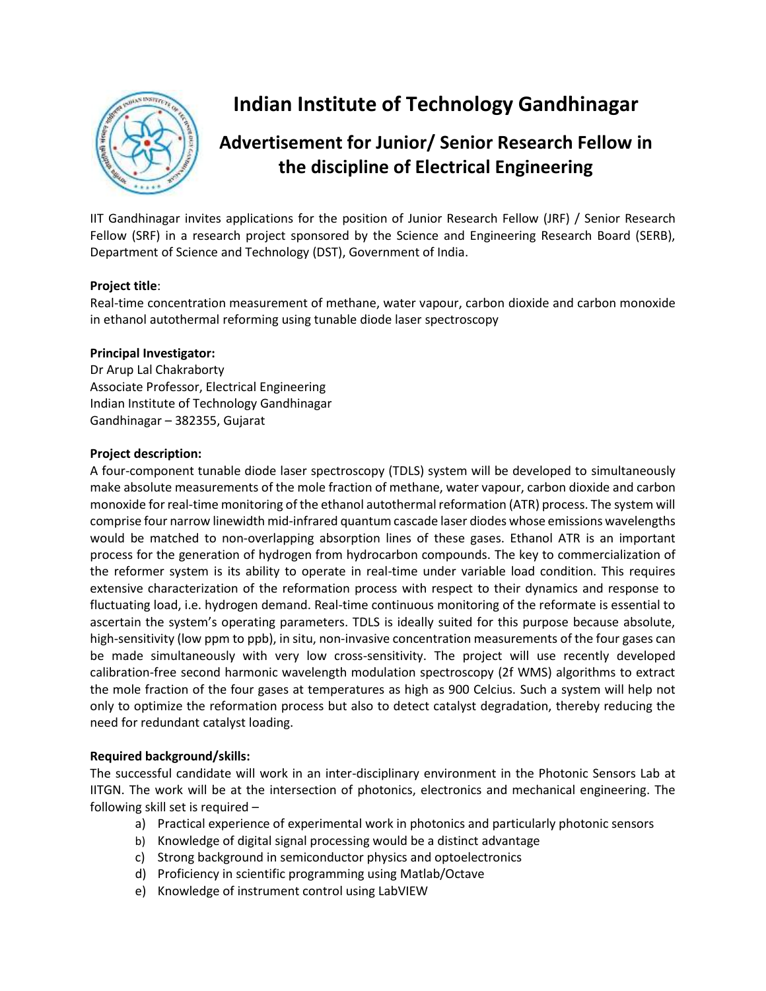

# **Indian Institute of Technology Gandhinagar**

# **Advertisement for Junior/ Senior Research Fellow in the discipline of Electrical Engineering**

IIT Gandhinagar invites applications for the position of Junior Research Fellow (JRF) / Senior Research Fellow (SRF) in a research project sponsored by the Science and Engineering Research Board (SERB), Department of Science and Technology (DST), Government of India.

# **Project title**:

Real-time concentration measurement of methane, water vapour, carbon dioxide and carbon monoxide in ethanol autothermal reforming using tunable diode laser spectroscopy

## **Principal Investigator:**

Dr Arup Lal Chakraborty Associate Professor, Electrical Engineering Indian Institute of Technology Gandhinagar Gandhinagar – 382355, Gujarat

#### **Project description:**

A four-component tunable diode laser spectroscopy (TDLS) system will be developed to simultaneously make absolute measurements of the mole fraction of methane, water vapour, carbon dioxide and carbon monoxide for real-time monitoring of the ethanol autothermal reformation (ATR) process. The system will comprise four narrow linewidth mid-infrared quantum cascade laser diodes whose emissions wavelengths would be matched to non-overlapping absorption lines of these gases. Ethanol ATR is an important process for the generation of hydrogen from hydrocarbon compounds. The key to commercialization of the reformer system is its ability to operate in real-time under variable load condition. This requires extensive characterization of the reformation process with respect to their dynamics and response to fluctuating load, i.e. hydrogen demand. Real-time continuous monitoring of the reformate is essential to ascertain the system's operating parameters. TDLS is ideally suited for this purpose because absolute, high-sensitivity (low ppm to ppb), in situ, non-invasive concentration measurements of the four gases can be made simultaneously with very low cross-sensitivity. The project will use recently developed calibration-free second harmonic wavelength modulation spectroscopy (2f WMS) algorithms to extract the mole fraction of the four gases at temperatures as high as 900 Celcius. Such a system will help not only to optimize the reformation process but also to detect catalyst degradation, thereby reducing the need for redundant catalyst loading.

#### **Required background/skills:**

The successful candidate will work in an inter-disciplinary environment in the Photonic Sensors Lab at IITGN. The work will be at the intersection of photonics, electronics and mechanical engineering. The following skill set is required –

- a) Practical experience of experimental work in photonics and particularly photonic sensors
- b) Knowledge of digital signal processing would be a distinct advantage
- c) Strong background in semiconductor physics and optoelectronics
- d) Proficiency in scientific programming using Matlab/Octave
- e) Knowledge of instrument control using LabVIEW